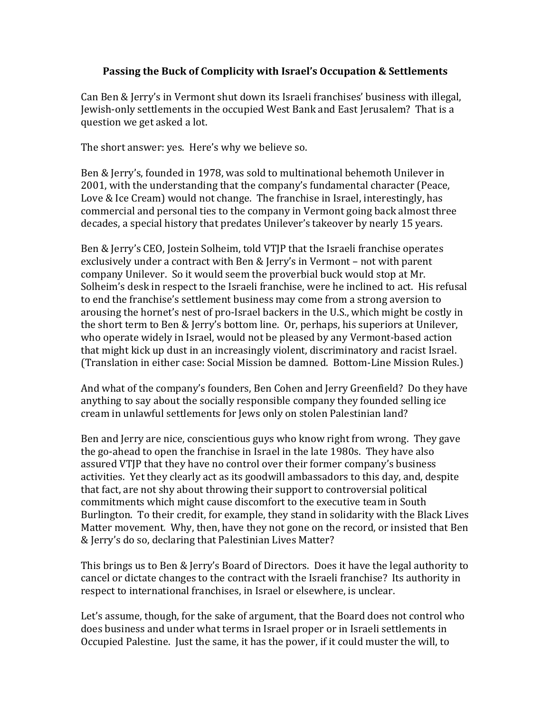## **Passing the Buck of Complicity with Israel's Occupation & Settlements**

Can Ben & Jerry's in Vermont shut down its Israeli franchises' business with illegal, Jewish-only settlements in the occupied West Bank and East Jerusalem? That is a question we get asked a lot.

The short answer: yes. Here's why we believe so.

Ben & Jerry's, founded in 1978, was sold to multinational behemoth Unilever in 2001, with the understanding that the company's fundamental character (Peace, Love & Ice Cream) would not change. The franchise in Israel, interestingly, has commercial and personal ties to the company in Vermont going back almost three decades, a special history that predates Unilever's takeover by nearly 15 years.

Ben & Jerry's CEO, Jostein Solheim, told VTJP that the Israeli franchise operates exclusively under a contract with Ben & Jerry's in Vermont – not with parent company Unilever. So it would seem the proverbial buck would stop at Mr. Solheim's desk in respect to the Israeli franchise, were he inclined to act. His refusal to end the franchise's settlement business may come from a strong aversion to arousing the hornet's nest of pro-Israel backers in the U.S., which might be costly in the short term to Ben & Jerry's bottom line. Or, perhaps, his superiors at Unilever, who operate widely in Israel, would not be pleased by any Vermont-based action that might kick up dust in an increasingly violent, discriminatory and racist Israel. (Translation in either case: Social Mission be damned. Bottom-Line Mission Rules.)

And what of the company's founders, Ben Cohen and Jerry Greenfield? Do they have anything to say about the socially responsible company they founded selling ice cream in unlawful settlements for Jews only on stolen Palestinian land?

Ben and Jerry are nice, conscientious guys who know right from wrong. They gave the go-ahead to open the franchise in Israel in the late 1980s. They have also assured VTJP that they have no control over their former company's business activities. Yet they clearly act as its goodwill ambassadors to this day, and, despite that fact, are not shy about throwing their support to controversial political commitments which might cause discomfort to the executive team in South Burlington. To their credit, for example, they stand in solidarity with the Black Lives Matter movement. Why, then, have they not gone on the record, or insisted that Ben & Jerry's do so, declaring that Palestinian Lives Matter?

This brings us to Ben & Jerry's Board of Directors. Does it have the legal authority to cancel or dictate changes to the contract with the Israeli franchise? Its authority in respect to international franchises, in Israel or elsewhere, is unclear.

Let's assume, though, for the sake of argument, that the Board does not control who does business and under what terms in Israel proper or in Israeli settlements in Occupied Palestine. Just the same, it has the power, if it could muster the will, to